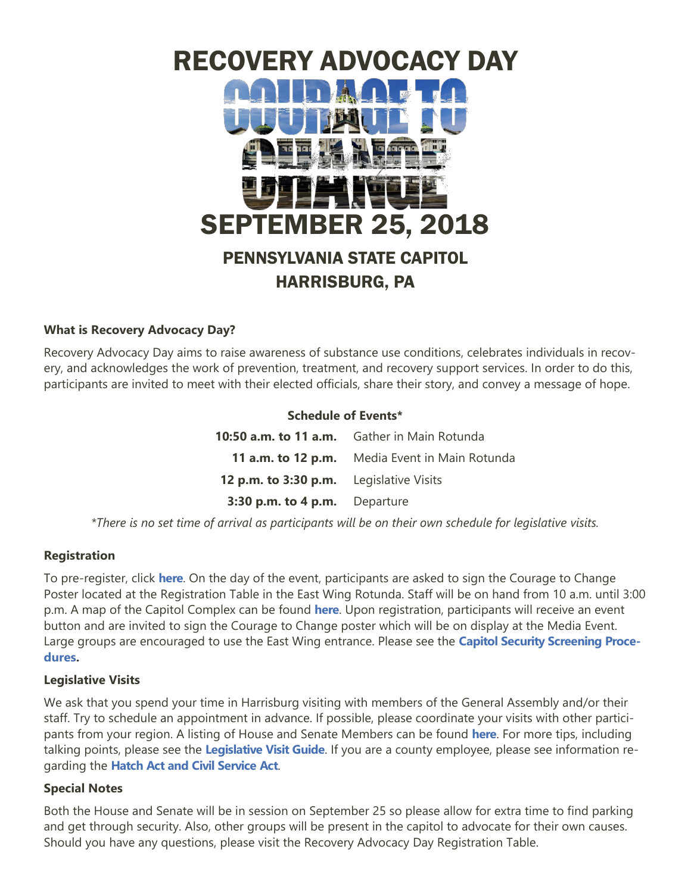

# **What is Recovery Advocacy Day?**

Recovery Advocacy Day aims to raise awareness of substance use conditions, celebrates individuals in recovery, and acknowledges the work of prevention, treatment, and recovery support services. In order to do this, participants are invited to meet with their elected officials, share their story, and convey a message of hope.

### **Schedule of Events\***

|                                         | <b>10:50 a.m. to 11 a.m.</b> Gather in Main Rotunda |
|-----------------------------------------|-----------------------------------------------------|
|                                         | 11 a.m. to 12 p.m. Media Event in Main Rotunda      |
| 12 p.m. to 3:30 p.m. Legislative Visits |                                                     |
| 3:30 p.m. to 4 p.m. Departure           |                                                     |

*\*There is no set time of arrival as participants will be on their own schedule for legislative visits.* 

### **Registration**

To pre-register, click **[here](https://www.eventbrite.com/e/recovery-advocacy-day-tickets-48031088278)**. On the day of the event, participants are asked to sign the Courage to Change Poster located at the Registration Table in the East Wing Rotunda. Staff will be on hand from 10 a.m. until 3:00 p.m. A map of the Capitol Complex can be found **[here](http://www.pacdaa.org/RecoveryAdvocacy/RADResources/RAD%20Capitol%20Map.pdf)**. Upon registration, participants will receive an event button and are invited to sign the Courage to Change poster which will be on display at the Media Event. Large groups are encouraged to use the East Wing entrance. Please see the **[Capitol Security Screening Proce](http://www.pacdaa.org/RecoveryAdvocacy/RADResources/RAD%20Capitol%20Security.pdf)[dures.](http://www.pacdaa.org/RecoveryAdvocacy/RADResources/RAD%20Capitol%20Security.pdf)** 

### **Legislative Visits**

We ask that you spend your time in Harrisburg visiting with members of the General Assembly and/or their staff. Try to schedule an appointment in advance. If possible, please coordinate your visits with other participants from your region. A listing of House and Senate Members can be found **[here](http://www.legis.state.pa.us/cfdocs/legis/home/findyourlegislator/)**. For more tips, including talking points, please see the **[Legislative Visit Guide](http://www.pacdaa.org/Pages/2018RAD.aspx)**. If you are a county employee, please see information regarding the **[Hatch Act and Civil Service Act](http://www.pacdaa.org/RecoveryAdvocacy/RADResources/RAD%20HA-CSA.pdf)**.

### **Special Notes**

Both the House and Senate will be in session on September 25 so please allow for extra time to find parking and get through security. Also, other groups will be present in the capitol to advocate for their own causes. Should you have any questions, please visit the Recovery Advocacy Day Registration Table.